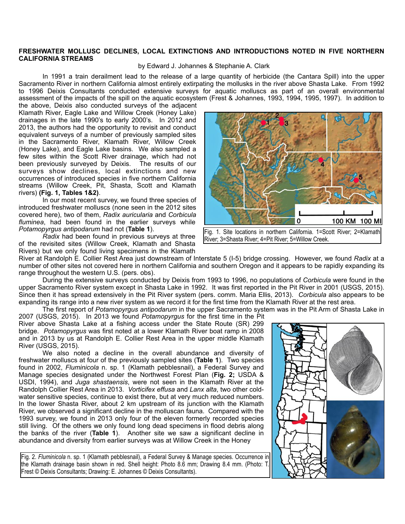## **FRESHWATER MOLLUSC DECLINES, LOCAL EXTINCTIONS AND INTRODUCTIONS NOTED IN FIVE NORTHERN CALIFORNIA STREAMS**

## by Edward J. Johannes & Stephanie A. Clark

 In 1991 a train derailment lead to the release of a large quantity of herbicide (the Cantara Spill) into the upper Sacramento River in northern California almost entirely extirpating the mollusks in the river above Shasta Lake. From 1992 to 1996 Deixis Consultants conducted extensive surveys for aquatic molluscs as part of an overall environmental assessment of the impacts of the spill on the aquatic ecosystem (Frest & Johannes, 1993, 1994, 1995, 1997). In addition to

the above, Deixis also conducted surveys of the adjacent Klamath River, Eagle Lake and Willow Creek (Honey Lake) drainages in the late 1990's to early 2000's. In 2012 and 2013, the authors had the opportunity to revisit and conduct equivalent surveys of a number of previously sampled sites in the Sacramento River, Klamath River, Willow Creek (Honey Lake), and Eagle Lake basins. We also sampled a few sites within the Scott River drainage, which had not been previously surveyed by Deixis. The results of our surveys show declines, local extinctions and new occurrences of introduced species in five northern California streams (Willow Creek, Pit, Shasta, Scott and Klamath rivers) **(Fig. 1, Tables 1&2)**.

 In our most recent survey, we found three species of introduced freshwater molluscs (none seen in the 2012 sites covered here), two of them, *Radix auricularia* and *Corbicula fluminea*, had been found in the earlier surveys while *Potamopyrgus antipodarum* had not (**Table 1**).

*Radix* had been found in previous surveys at three of the revisited sites (Willow Creek, Klamath and Shasta Rivers) but we only found living specimens in the Klamath



Fig. 1. Site locations in northern California. 1=Scott River; 2=Klamath River; 3=Shasta River; 4=Pit River; 5=Willow Creek.

River at Randolph E. Collier Rest Area just downstream of Interstate 5 (I-5) bridge crossing. However, we found *Radix* at a number of other sites not covered here in northern California and southern Oregon and it appears to be rapidly expanding its range throughout the western U.S. (pers. obs).

 During the extensive surveys conducted by Deixis from 1993 to 1996, no populations of *Corbicula* were found in the upper Sacramento River system except in Shasta Lake in 1992. It was first reported in the Pit River in 2001 (USGS, 2015). Since then it has spread extensively in the Pit River system (pers. comm. Maria Ellis, 2013). *Corbicula* also appears to be expanding its range into a new river system as we record it for the first time from the Klamath River at the rest area.

The first report of *Potamopyrgus antipodarum* in the upper Sacramento system was in the Pit Arm of Shasta Lake in

2007 (USGS, 2015). In 2013 we found *Potamopyrgus* for the first time in the Pit River above Shasta Lake at a fishing access under the State Route (SR) 299 bridge. *Potamopyrgus* was first noted at a lower Klamath River boat ramp in 2008 and in 2013 by us at Randolph E. Collier Rest Area in the upper middle Klamath River (USGS, 2015).

 We also noted a decline in the overall abundance and diversity of freshwater molluscs at four of the previously sampled sites (**Table 1**). Two species found in 2002, *Fluminicola* n. sp. 1 (Klamath pebblesnail), a Federal Survey and Manage species designated under the Northwest Forest Plan (**Fig. 2;** USDA & USDI, 1994), and *Juga shastaensis*, were not seen in the Klamath River at the Randolph Collier Rest Area in 2013. *Vorticifex effusa* and *Lanx alta*, two other coldwater sensitive species, continue to exist there, but at very much reduced numbers. In the lower Shasta River, about 2 km upstream of its junction with the Klamath River, we observed a significant decline in the molluscan fauna. Compared with the 1993 survey, we found in 2013 only four of the eleven formerly recorded species still living. Of the others we only found long dead specimens in flood debris along the banks of the river (**Table 1**). Another site we saw a significant decline in abundance and diversity from earlier surveys was at Willow Creek in the Honey

Fig. 2. *Fluminicola* n. sp. 1 (Klamath pebblesnail), a Federal Survey & Manage species. Occurrence in the Klamath drainage basin shown in red. Shell height: Photo 8.6 mm; Drawing 8.4 mm. (Photo: T. Frest © Deixis Consultants; Drawing: E. Johannes © Deixis Consultants).

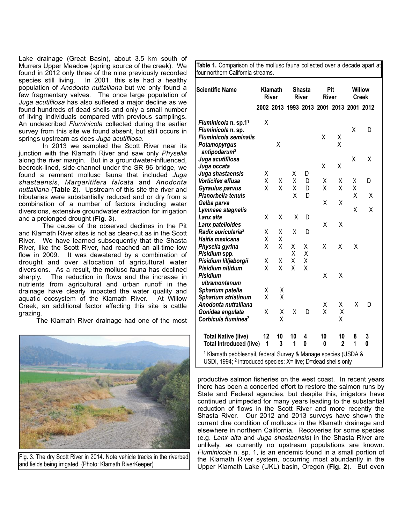Lake drainage (Great Basin), about 3.5 km south of Murrers Upper Meadow (spring source of the creek). We found in 2012 only three of the nine previously recorded species still living. In 2001, this site had a healthy In 2001, this site had a healthy population of *Anodonta nuttalliana* but we only found a few fragmentary valves. The once large population of *Juga acutifilosa* has also suffered a major decline as we found hundreds of dead shells and only a small number of living individuals compared with previous samplings. An undescribed *Fluminicola* collected during the earlier survey from this site we found absent, but still occurs in springs upstream as does *Juga acutifilosa*.

 In 2013 we sampled the Scott River near its junction with the Klamath River and saw only *Physella* along the river margin. But in a groundwater-influenced, bedrock-lined, side-channel under the SR 96 bridge, we found a remnant mollusc fauna that included *Juga shastaensis*, *Margaritifera falcata* and *Anodonta nuttalliana* (**Table 2**). Upstream of this site the river and tributaries were substantially reduced and or dry from a combination of a number of factors including water diversions, extensive groundwater extraction for irrigation and a prolonged drought (**Fig. 3**).

 The cause of the observed declines in the Pit and Klamath River sites is not as clear-cut as in the Scott River. We have learned subsequently that the Shasta River, like the Scott River, had reached an all-time low flow in 2009. It was dewatered by a combination of drought and over allocation of agricultural water diversions. As a result, the mollusc fauna has declined sharply. The reduction in flows and the increase in The reduction in flows and the increase in nutrients from agricultural and urban runoff in the drainage have clearly impacted the water quality and aquatic ecosystem of the Klamath River. At Willow Creek, an additional factor affecting this site is cattle grazing.

The Klamath River drainage had one of the most



Fig. 3. The dry Scott River in 2014. Note vehicle tracks in the riverbed and fields being irrigated. (Photo: Klamath RiverKeeper)

| <b>Scientific Name</b>                              | Klamath<br><b>River</b> |                | <b>Shasta</b><br><b>River</b> |   | Pit<br><b>River</b> |                                         | Willow<br><b>Creek</b> |   |
|-----------------------------------------------------|-------------------------|----------------|-------------------------------|---|---------------------|-----------------------------------------|------------------------|---|
|                                                     |                         |                |                               |   |                     | 2002 2013 1993 2013 2001 2013 2001 2012 |                        |   |
| Fluminicola n. sp.11                                | Χ                       |                |                               |   |                     |                                         |                        |   |
| Fluminicola n. sp.                                  |                         |                |                               |   |                     |                                         | Χ                      | D |
| <b>Fluminicola seminalis</b>                        |                         |                |                               |   | Χ                   | Χ                                       |                        |   |
| Potamopyrgus<br>antipodarum <sup>2</sup>            |                         | Χ              |                               |   |                     | X                                       |                        |   |
| Juga acutifilosa                                    |                         |                |                               |   |                     |                                         | X                      | Χ |
| Juga occata                                         |                         |                |                               |   | Χ                   | Χ                                       |                        |   |
| Juga shastaensis                                    | Χ                       |                | Χ                             | D |                     |                                         |                        |   |
| Vorticifex effusa                                   | Χ                       | X              | Χ                             | D | Χ                   | Χ                                       | χ                      | D |
| Gyraulus parvus                                     | Χ                       | Χ              | Χ                             | D | Χ                   | Χ                                       | Χ                      |   |
| Planorbella tenuis                                  |                         |                | Χ                             | D |                     |                                         | Χ                      | Χ |
| Galba parva                                         |                         |                |                               |   | Χ                   | Χ                                       |                        |   |
| Lymnaea stagnalis                                   |                         |                |                               |   |                     |                                         | Χ                      | Χ |
| Lanx alta                                           | Χ                       | Χ              | Χ                             | D |                     |                                         |                        |   |
| Lanx patelloides                                    |                         |                |                               |   | Χ                   | Χ                                       |                        |   |
| Radix auricularia <sup>2</sup>                      | Χ                       | Χ              | Χ                             | D |                     |                                         |                        |   |
| Haitia mexicana                                     | Χ                       | Χ              |                               |   |                     |                                         |                        |   |
| Physella gyrina                                     | X                       | Χ              | Χ                             | χ | X                   | X                                       | Χ                      |   |
| Pisidium spp.                                       |                         |                | Χ                             | Χ |                     |                                         |                        |   |
| Pisidium lilljeborgii                               | Χ                       | Χ              | X                             | Χ |                     |                                         |                        |   |
| Pisidium nitidum                                    | X                       | Χ              | X                             | X |                     |                                         |                        |   |
| <b>Pisidium</b>                                     |                         |                |                               |   | Χ                   | Χ                                       |                        |   |
| ultramontanum                                       |                         |                |                               |   |                     |                                         |                        |   |
| Spharium patella                                    | Χ                       | Χ              |                               |   |                     |                                         |                        |   |
| Spharium striatinum                                 | X                       | X              |                               |   |                     |                                         |                        |   |
| Anodonta nuttalliana                                |                         |                |                               |   | Χ<br>X              | Χ                                       | X                      | D |
| Gonidea angulata<br>Corbicula fluminea <sup>2</sup> | Χ                       | Χ<br>Χ         | Χ                             | D |                     | X<br>Χ                                  |                        |   |
|                                                     |                         |                |                               |   |                     |                                         |                        |   |
| <b>Total Native (live)</b>                          | 12                      | 10             | 10                            | 4 | 10                  | 10                                      | 8                      | 3 |
| <b>Total Introduced (live)</b>                      | 1                       | $\overline{3}$ | 1                             | 0 | 0                   | $\overline{2}$                          | 1                      | 0 |

**Table 1.** Comparison of the mollusc fauna collected over a decade apart at

productive salmon fisheries on the west coast. In recent years there has been a concerted effort to restore the salmon runs by State and Federal agencies, but despite this, irrigators have continued unimpeded for many years leading to the substantial reduction of flows in the Scott River and more recently the Shasta River. Our 2012 and 2013 surveys have shown the current dire condition of molluscs in the Klamath drainage and elsewhere in northern California. Recoveries for some species (e.g. *Lanx alta* and *Juga shastaensis*) in the Shasta River are unlikely, as currently no upstream populations are known. *Fluminicola* n. sp. 1, is an endemic found in a small portion of the Klamath River system, occurring most abundantly in the Upper Klamath Lake (UKL) basin, Oregon (**Fig. 2**). But even